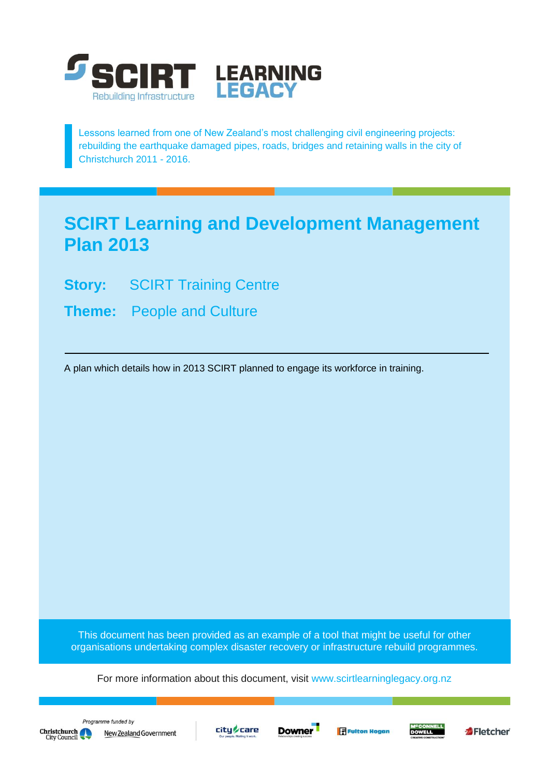

Lessons learned from one of New Zealand's most challenging civil engineering projects: rebuilding the earthquake damaged pipes, roads, bridges and retaining walls in the city of Christchurch 2011 - 2016.

# **SCIRT Learning and Development Management Plan 2013**

- **Story: SCIRT Training Centre**
- **Theme:** People and Culture

A plan which details how in 2013 SCIRT planned to engage its workforce in training.

This document has been provided as an example of a tool that might be useful for other organisations undertaking complex disaster recovery or infrastructure rebuild programmes.

For more information about this document, visit [www.scirtlearninglegacy.org.nz](http://www.scirtlearninglegacy.org.nz/)











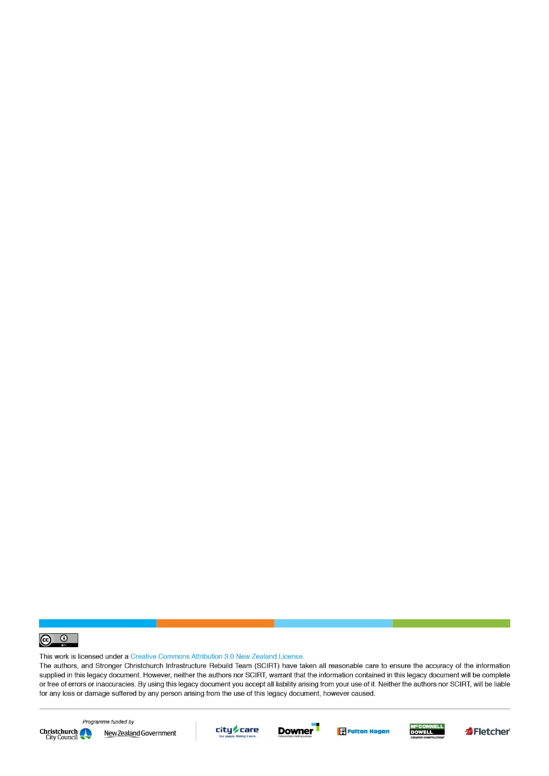

This work is licensed under a Creative Commons Attribution 3.0 New Zealand License.

The authors, and Stronger Christchurch Infrastructure Rebuild Team (SCIRT) have taken all reasonable care to ensure the accuracy of the information supplied in this legacy document. However, neither the authors nor SCIRT, warrant that the information contained in this legacy document will be complete or free of errors or inaccuracies. By using this legacy document you accept all liability arising from your use of it. Neither the authors nor SCIRT, will be liable for any loss or damage suffered by any person arising from the use of this legacy document, however caused.



Programme funded by New Zealand Government









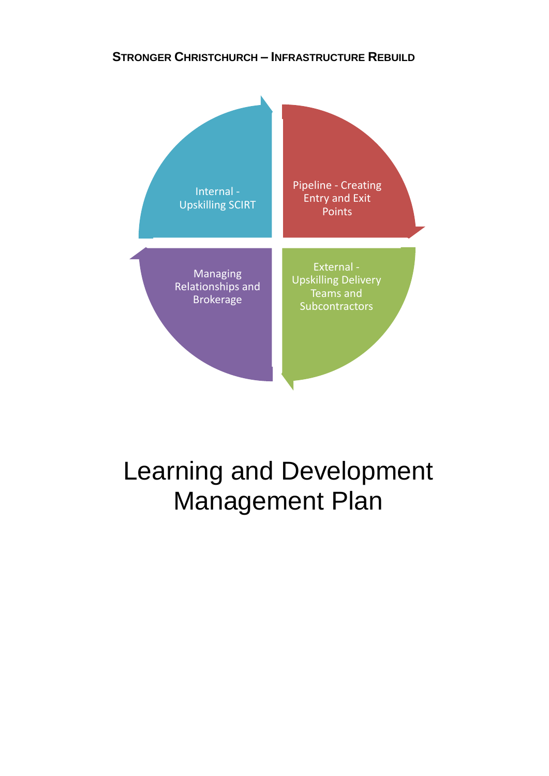### **STRONGER CHRISTCHURCH – INFRASTRUCTURE REBUILD**



# Learning and Development Management Plan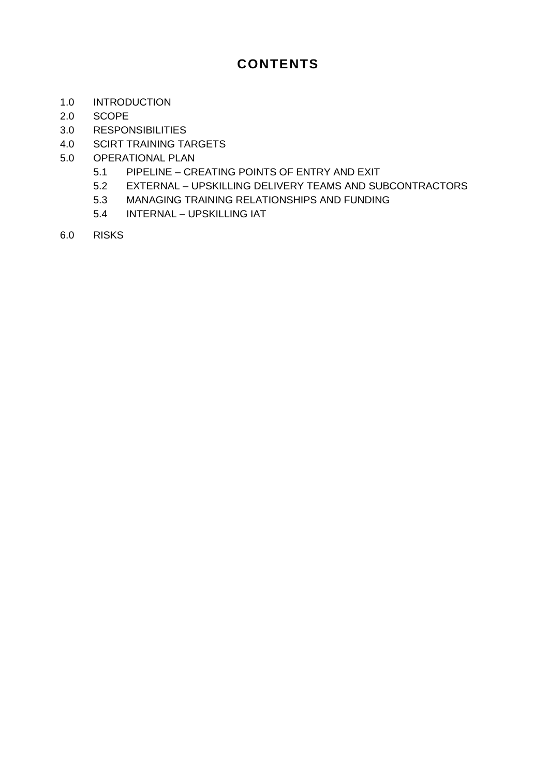## **CONTENTS**

- 1.0 INTRODUCTION
- 2.0 SCOPE
- 3.0 RESPONSIBILITIES
- 4.0 SCIRT TRAINING TARGETS
- 5.0 OPERATIONAL PLAN
	- 5.1 PIPELINE CREATING POINTS OF ENTRY AND EXIT
	- 5.2 EXTERNAL UPSKILLING DELIVERY TEAMS AND SUBCONTRACTORS
	- 5.3 MANAGING TRAINING RELATIONSHIPS AND FUNDING
	- 5.4 INTERNAL UPSKILLING IAT
- 6.0 RISKS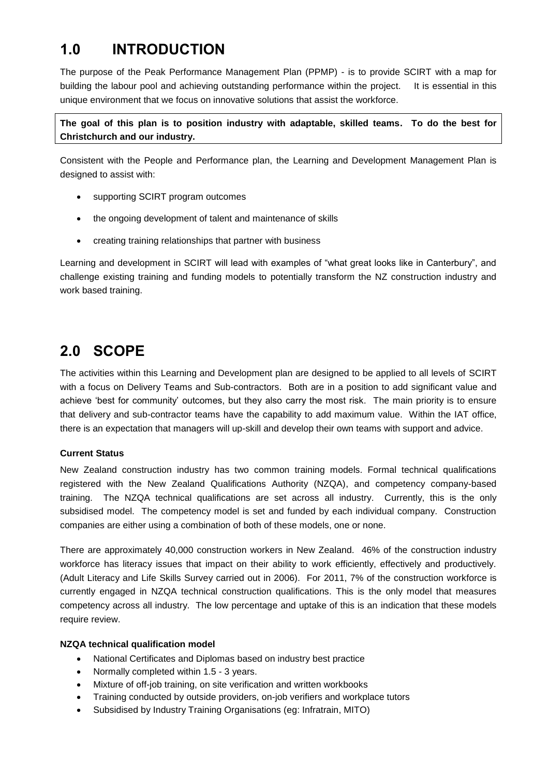# **1.0 INTRODUCTION**

The purpose of the Peak Performance Management Plan (PPMP) - is to provide SCIRT with a map for building the labour pool and achieving outstanding performance within the project. It is essential in this unique environment that we focus on innovative solutions that assist the workforce.

**The goal of this plan is to position industry with adaptable, skilled teams. To do the best for Christchurch and our industry.**

Consistent with the People and Performance plan, the Learning and Development Management Plan is designed to assist with:

- supporting SCIRT program outcomes
- the ongoing development of talent and maintenance of skills
- creating training relationships that partner with business

Learning and development in SCIRT will lead with examples of "what great looks like in Canterbury", and challenge existing training and funding models to potentially transform the NZ construction industry and work based training.

# **2.0 SCOPE**

The activities within this Learning and Development plan are designed to be applied to all levels of SCIRT with a focus on Delivery Teams and Sub-contractors. Both are in a position to add significant value and achieve 'best for community' outcomes, but they also carry the most risk. The main priority is to ensure that delivery and sub-contractor teams have the capability to add maximum value. Within the IAT office, there is an expectation that managers will up-skill and develop their own teams with support and advice.

#### **Current Status**

New Zealand construction industry has two common training models. Formal technical qualifications registered with the New Zealand Qualifications Authority (NZQA), and competency company-based training. The NZQA technical qualifications are set across all industry. Currently, this is the only subsidised model. The competency model is set and funded by each individual company. Construction companies are either using a combination of both of these models, one or none.

There are approximately 40,000 construction workers in New Zealand. 46% of the construction industry workforce has literacy issues that impact on their ability to work efficiently, effectively and productively. (Adult Literacy and Life Skills Survey carried out in 2006). For 2011, 7% of the construction workforce is currently engaged in NZQA technical construction qualifications. This is the only model that measures competency across all industry. The low percentage and uptake of this is an indication that these models require review.

#### **NZQA technical qualification model**

- National Certificates and Diplomas based on industry best practice
- Normally completed within 1.5 3 years.
- Mixture of off-job training, on site verification and written workbooks
- Training conducted by outside providers, on-job verifiers and workplace tutors
- Subsidised by Industry Training Organisations (eg: Infratrain, MITO)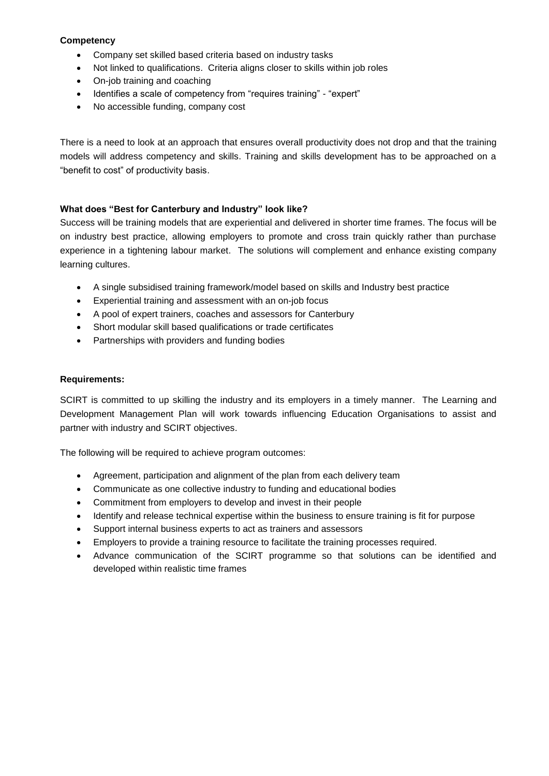#### **Competency**

- Company set skilled based criteria based on industry tasks
- Not linked to qualifications. Criteria aligns closer to skills within job roles
- On-job training and coaching
- Identifies a scale of competency from "requires training" "expert"
- No accessible funding, company cost

There is a need to look at an approach that ensures overall productivity does not drop and that the training models will address competency and skills. Training and skills development has to be approached on a "benefit to cost" of productivity basis.

#### **What does "Best for Canterbury and Industry" look like?**

Success will be training models that are experiential and delivered in shorter time frames. The focus will be on industry best practice, allowing employers to promote and cross train quickly rather than purchase experience in a tightening labour market. The solutions will complement and enhance existing company learning cultures.

- A single subsidised training framework/model based on skills and Industry best practice
- Experiential training and assessment with an on-job focus
- A pool of expert trainers, coaches and assessors for Canterbury
- Short modular skill based qualifications or trade certificates
- Partnerships with providers and funding bodies

#### **Requirements:**

SCIRT is committed to up skilling the industry and its employers in a timely manner. The Learning and Development Management Plan will work towards influencing Education Organisations to assist and partner with industry and SCIRT objectives.

The following will be required to achieve program outcomes:

- Agreement, participation and alignment of the plan from each delivery team
- Communicate as one collective industry to funding and educational bodies
- Commitment from employers to develop and invest in their people
- Identify and release technical expertise within the business to ensure training is fit for purpose
- Support internal business experts to act as trainers and assessors
- Employers to provide a training resource to facilitate the training processes required.
- Advance communication of the SCIRT programme so that solutions can be identified and developed within realistic time frames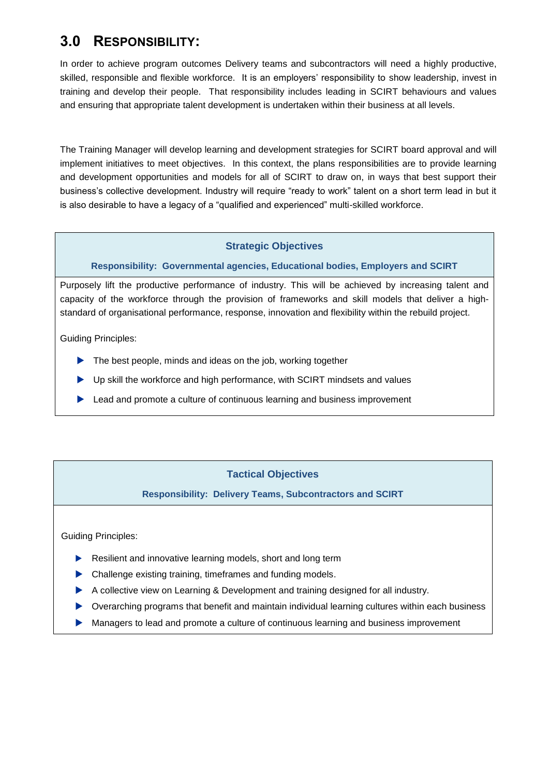### **3.0 RESPONSIBILITY:**

In order to achieve program outcomes Delivery teams and subcontractors will need a highly productive, skilled, responsible and flexible workforce. It is an employers' responsibility to show leadership, invest in training and develop their people. That responsibility includes leading in SCIRT behaviours and values and ensuring that appropriate talent development is undertaken within their business at all levels.

The Training Manager will develop learning and development strategies for SCIRT board approval and will implement initiatives to meet objectives. In this context, the plans responsibilities are to provide learning and development opportunities and models for all of SCIRT to draw on, in ways that best support their business's collective development. Industry will require "ready to work" talent on a short term lead in but it is also desirable to have a legacy of a "qualified and experienced" multi-skilled workforce.

#### **Strategic Objectives**

#### **Responsibility: Governmental agencies, Educational bodies, Employers and SCIRT**

Purposely lift the productive performance of industry. This will be achieved by increasing talent and capacity of the workforce through the provision of frameworks and skill models that deliver a highstandard of organisational performance, response, innovation and flexibility within the rebuild project.

Guiding Principles:

- The best people, minds and ideas on the job, working together
- Up skill the workforce and high performance, with SCIRT mindsets and values
- ▶ Lead and promote a culture of continuous learning and business improvement

#### **Tactical Objectives**

**Responsibility: Delivery Teams, Subcontractors and SCIRT**

Guiding Principles:

- Resilient and innovative learning models, short and long term
- Challenge existing training, timeframes and funding models.
- A collective view on Learning & Development and training designed for all industry.
- Overarching programs that benefit and maintain individual learning cultures within each business
- Managers to lead and promote a culture of continuous learning and business improvement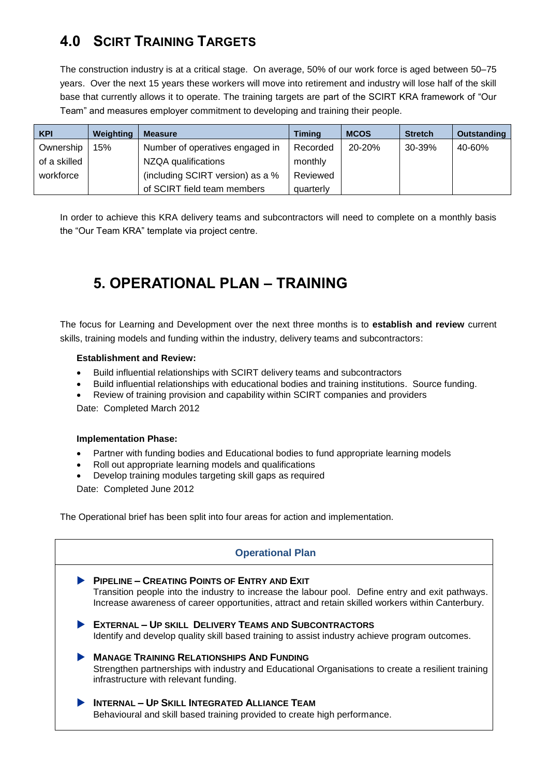# **4.0 SCIRT TRAINING TARGETS**

The construction industry is at a critical stage. On average, 50% of our work force is aged between 50–75 years. Over the next 15 years these workers will move into retirement and industry will lose half of the skill base that currently allows it to operate. The training targets are part of the SCIRT KRA framework of "Our Team" and measures employer commitment to developing and training their people.

| <b>KPI</b>   | Weighting | <b>Measure</b>                   | <b>Timing</b> | <b>MCOS</b> | <b>Stretch</b> | <b>Outstanding</b> |
|--------------|-----------|----------------------------------|---------------|-------------|----------------|--------------------|
| Ownership    | 15%       | Number of operatives engaged in  | Recorded      | 20-20%      | 30-39%         | 40-60%             |
| of a skilled |           | NZQA qualifications              | monthly       |             |                |                    |
| workforce    |           | (including SCIRT version) as a % | Reviewed      |             |                |                    |
|              |           | of SCIRT field team members      | quarterly     |             |                |                    |

In order to achieve this KRA delivery teams and subcontractors will need to complete on a monthly basis the "Our Team KRA" template via project centre.

# **5. OPERATIONAL PLAN – TRAINING**

The focus for Learning and Development over the next three months is to **establish and review** current skills, training models and funding within the industry, delivery teams and subcontractors:

#### **Establishment and Review:**

- Build influential relationships with SCIRT delivery teams and subcontractors
- Build influential relationships with educational bodies and training institutions. Source funding.
- Review of training provision and capability within SCIRT companies and providers

Date: Completed March 2012

#### **Implementation Phase:**

- Partner with funding bodies and Educational bodies to fund appropriate learning models
- Roll out appropriate learning models and qualifications
- Develop training modules targeting skill gaps as required

Date: Completed June 2012

The Operational brief has been split into four areas for action and implementation.



Behavioural and skill based training provided to create high performance.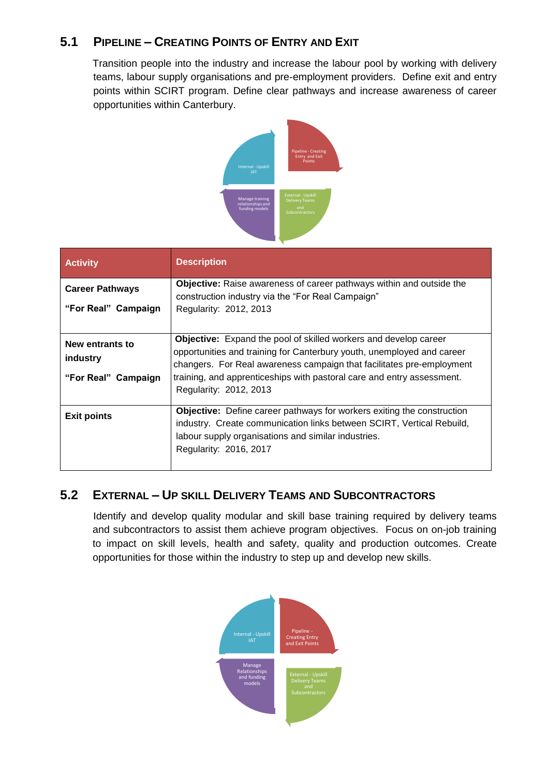### **5.1 PIPELINE – CREATING POINTS OF ENTRY AND EXIT**

Transition people into the industry and increase the labour pool by working with delivery teams, labour supply organisations and pre-employment providers. Define exit and entry points within SCIRT program. Define clear pathways and increase awareness of career opportunities within Canterbury.



| <b>Activity</b>                                    | <b>Description</b>                                                                                                                                                                                                                                                                                                             |
|----------------------------------------------------|--------------------------------------------------------------------------------------------------------------------------------------------------------------------------------------------------------------------------------------------------------------------------------------------------------------------------------|
| <b>Career Pathways</b><br>"For Real" Campaign      | Objective: Raise awareness of career pathways within and outside the<br>construction industry via the "For Real Campaign"<br>Regularity: 2012, 2013                                                                                                                                                                            |
| New entrants to<br>industry<br>"For Real" Campaign | <b>Objective:</b> Expand the pool of skilled workers and develop career<br>opportunities and training for Canterbury youth, unemployed and career<br>changers. For Real awareness campaign that facilitates pre-employment<br>training, and apprenticeships with pastoral care and entry assessment.<br>Regularity: 2012, 2013 |
| <b>Exit points</b>                                 | <b>Objective:</b> Define career pathways for workers exiting the construction<br>industry. Create communication links between SCIRT, Vertical Rebuild,<br>labour supply organisations and similar industries.<br>Regularity: 2016, 2017                                                                                        |

### **5.2 EXTERNAL – UP SKILL DELIVERY TEAMS AND SUBCONTRACTORS**

Identify and develop quality modular and skill base training required by delivery teams and subcontractors to assist them achieve program objectives. Focus on on-job training to impact on skill levels, health and safety, quality and production outcomes. Create opportunities for those within the industry to step up and develop new skills.

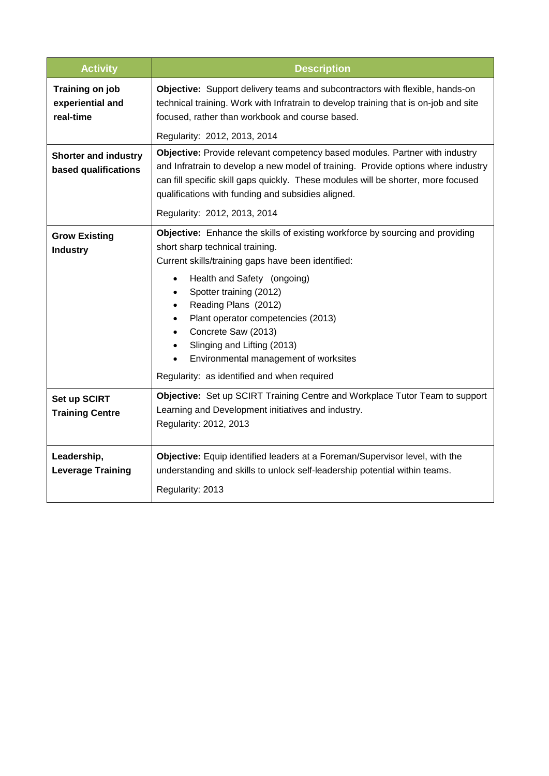| <b>Activity</b>                                     | <b>Description</b>                                                                                                                                                                                                                                                                                                                                                                                                                                                                                                                |  |
|-----------------------------------------------------|-----------------------------------------------------------------------------------------------------------------------------------------------------------------------------------------------------------------------------------------------------------------------------------------------------------------------------------------------------------------------------------------------------------------------------------------------------------------------------------------------------------------------------------|--|
| Training on job<br>experiential and<br>real-time    | Objective: Support delivery teams and subcontractors with flexible, hands-on<br>technical training. Work with Infratrain to develop training that is on-job and site<br>focused, rather than workbook and course based.<br>Regularity: 2012, 2013, 2014                                                                                                                                                                                                                                                                           |  |
| <b>Shorter and industry</b><br>based qualifications | Objective: Provide relevant competency based modules. Partner with industry<br>and Infratrain to develop a new model of training. Provide options where industry<br>can fill specific skill gaps quickly. These modules will be shorter, more focused<br>qualifications with funding and subsidies aligned.<br>Regularity: 2012, 2013, 2014                                                                                                                                                                                       |  |
| <b>Grow Existing</b><br><b>Industry</b>             | <b>Objective:</b> Enhance the skills of existing workforce by sourcing and providing<br>short sharp technical training.<br>Current skills/training gaps have been identified:<br>Health and Safety (ongoing)<br>$\bullet$<br>Spotter training (2012)<br>$\bullet$<br>Reading Plans (2012)<br>$\bullet$<br>Plant operator competencies (2013)<br>$\bullet$<br>Concrete Saw (2013)<br>$\bullet$<br>Slinging and Lifting (2013)<br>$\bullet$<br>Environmental management of worksites<br>Regularity: as identified and when required |  |
| Set up SCIRT<br><b>Training Centre</b>              | Objective: Set up SCIRT Training Centre and Workplace Tutor Team to support<br>Learning and Development initiatives and industry.<br>Regularity: 2012, 2013                                                                                                                                                                                                                                                                                                                                                                       |  |
| Leadership,<br><b>Leverage Training</b>             | Objective: Equip identified leaders at a Foreman/Supervisor level, with the<br>understanding and skills to unlock self-leadership potential within teams.<br>Regularity: 2013                                                                                                                                                                                                                                                                                                                                                     |  |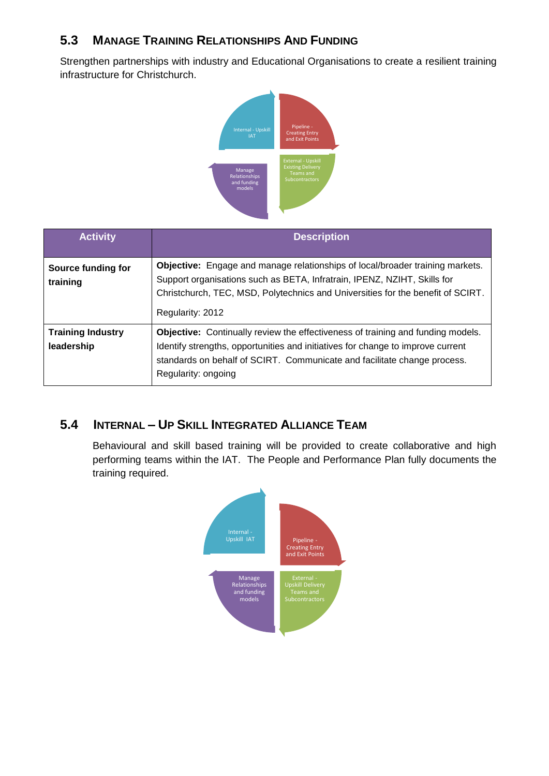### **5.3 MANAGE TRAINING RELATIONSHIPS AND FUNDING**

Strengthen partnerships with industry and Educational Organisations to create a resilient training infrastructure for Christchurch.



| <b>Activity</b>                        | <b>Description</b>                                                                                                                                                                                                                                                           |  |
|----------------------------------------|------------------------------------------------------------------------------------------------------------------------------------------------------------------------------------------------------------------------------------------------------------------------------|--|
| Source funding for<br>training         | <b>Objective:</b> Engage and manage relationships of local/broader training markets.<br>Support organisations such as BETA, Infratrain, IPENZ, NZIHT, Skills for<br>Christchurch, TEC, MSD, Polytechnics and Universities for the benefit of SCIRT.<br>Regularity: 2012      |  |
| <b>Training Industry</b><br>leadership | <b>Objective:</b> Continually review the effectiveness of training and funding models.<br>Identify strengths, opportunities and initiatives for change to improve current<br>standards on behalf of SCIRT. Communicate and facilitate change process.<br>Regularity: ongoing |  |

### **5.4 INTERNAL – UP SKILL INTEGRATED ALLIANCE TEAM**

Behavioural and skill based training will be provided to create collaborative and high performing teams within the IAT. The People and Performance Plan fully documents the training required.

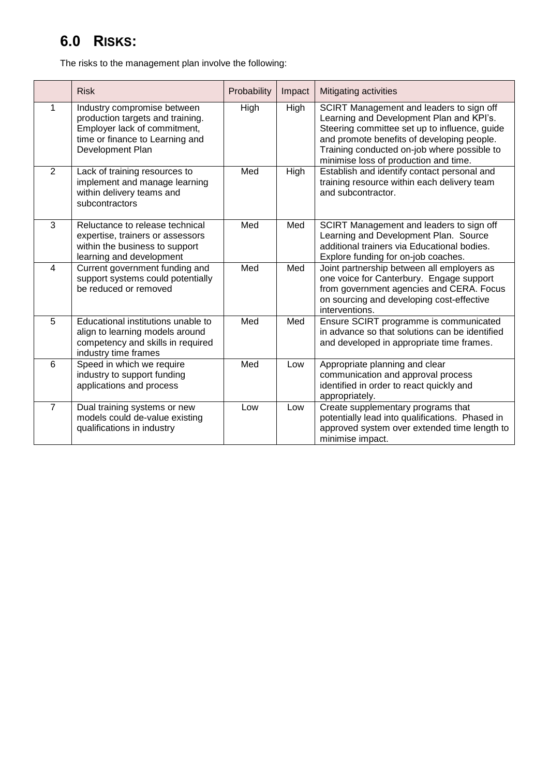# **6.0 RISKS:**

The risks to the management plan involve the following:

|                | <b>Risk</b>                                                                                                                                            | Probability | Impact | Mitigating activities                                                                                                                                                                                                                                                       |
|----------------|--------------------------------------------------------------------------------------------------------------------------------------------------------|-------------|--------|-----------------------------------------------------------------------------------------------------------------------------------------------------------------------------------------------------------------------------------------------------------------------------|
| 1              | Industry compromise between<br>production targets and training.<br>Employer lack of commitment,<br>time or finance to Learning and<br>Development Plan | High        | High   | SCIRT Management and leaders to sign off<br>Learning and Development Plan and KPI's.<br>Steering committee set up to influence, guide<br>and promote benefits of developing people.<br>Training conducted on-job where possible to<br>minimise loss of production and time. |
| 2              | Lack of training resources to<br>implement and manage learning<br>within delivery teams and<br>subcontractors                                          | Med         | High   | Establish and identify contact personal and<br>training resource within each delivery team<br>and subcontractor.                                                                                                                                                            |
| 3              | Reluctance to release technical<br>expertise, trainers or assessors<br>within the business to support<br>learning and development                      | Med         | Med    | SCIRT Management and leaders to sign off<br>Learning and Development Plan. Source<br>additional trainers via Educational bodies.<br>Explore funding for on-job coaches.                                                                                                     |
| $\overline{4}$ | Current government funding and<br>support systems could potentially<br>be reduced or removed                                                           | Med         | Med    | Joint partnership between all employers as<br>one voice for Canterbury. Engage support<br>from government agencies and CERA. Focus<br>on sourcing and developing cost-effective<br>interventions.                                                                           |
| 5              | Educational institutions unable to<br>align to learning models around<br>competency and skills in required<br>industry time frames                     | Med         | Med    | Ensure SCIRT programme is communicated<br>in advance so that solutions can be identified<br>and developed in appropriate time frames.                                                                                                                                       |
| 6              | Speed in which we require<br>industry to support funding<br>applications and process                                                                   | Med         | Low    | Appropriate planning and clear<br>communication and approval process<br>identified in order to react quickly and<br>appropriately.                                                                                                                                          |
| $\overline{7}$ | Dual training systems or new<br>models could de-value existing<br>qualifications in industry                                                           | Low         | Low    | Create supplementary programs that<br>potentially lead into qualifications. Phased in<br>approved system over extended time length to<br>minimise impact.                                                                                                                   |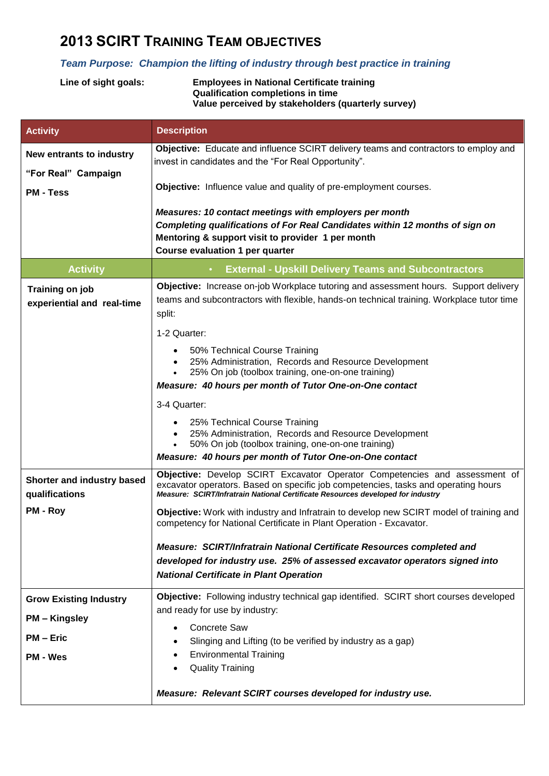# **2013 SCIRT TRAINING TEAM OBJECTIVES**

### *Team Purpose: Champion the lifting of industry through best practice in training*

| Line of sight goals: | <b>Employees in National Certificate training</b>  |
|----------------------|----------------------------------------------------|
|                      | <b>Qualification completions in time</b>           |
|                      | Value perceived by stakeholders (quarterly survey) |
|                      |                                                    |

| <b>Activity</b>                                                                                                                                                                                                                                                                                     | <b>Description</b>                                                                                                                                                                                                             |  |  |
|-----------------------------------------------------------------------------------------------------------------------------------------------------------------------------------------------------------------------------------------------------------------------------------------------------|--------------------------------------------------------------------------------------------------------------------------------------------------------------------------------------------------------------------------------|--|--|
| New entrants to industry                                                                                                                                                                                                                                                                            | Objective: Educate and influence SCIRT delivery teams and contractors to employ and<br>invest in candidates and the "For Real Opportunity".                                                                                    |  |  |
| "For Real" Campaign<br><b>PM - Tess</b>                                                                                                                                                                                                                                                             | Objective: Influence value and quality of pre-employment courses.                                                                                                                                                              |  |  |
|                                                                                                                                                                                                                                                                                                     | Measures: 10 contact meetings with employers per month<br>Completing qualifications of For Real Candidates within 12 months of sign on<br>Mentoring & support visit to provider 1 per month<br>Course evaluation 1 per quarter |  |  |
| <b>Activity</b>                                                                                                                                                                                                                                                                                     | <b>External - Upskill Delivery Teams and Subcontractors</b><br>$\bullet$                                                                                                                                                       |  |  |
| Training on job<br>experiential and real-time                                                                                                                                                                                                                                                       | Objective: Increase on-job Workplace tutoring and assessment hours. Support delivery<br>teams and subcontractors with flexible, hands-on technical training. Workplace tutor time<br>split:                                    |  |  |
|                                                                                                                                                                                                                                                                                                     | 1-2 Quarter:                                                                                                                                                                                                                   |  |  |
|                                                                                                                                                                                                                                                                                                     | 50% Technical Course Training<br>25% Administration, Records and Resource Development<br>$\bullet$<br>25% On job (toolbox training, one-on-one training)<br>Measure: 40 hours per month of Tutor One-on-One contact            |  |  |
|                                                                                                                                                                                                                                                                                                     | 3-4 Quarter:                                                                                                                                                                                                                   |  |  |
|                                                                                                                                                                                                                                                                                                     | 25% Technical Course Training<br>25% Administration, Records and Resource Development<br>$\bullet$<br>50% On job (toolbox training, one-on-one training)<br>$\bullet$                                                          |  |  |
|                                                                                                                                                                                                                                                                                                     | Measure: 40 hours per month of Tutor One-on-One contact                                                                                                                                                                        |  |  |
| Objective: Develop SCIRT Excavator Operator Competencies and assessment of<br>Shorter and industry based<br>excavator operators. Based on specific job competencies, tasks and operating hours<br>qualifications<br>Measure: SCIRT/Infratrain National Certificate Resources developed for industry |                                                                                                                                                                                                                                |  |  |
| PM - Roy                                                                                                                                                                                                                                                                                            | Objective: Work with industry and Infratrain to develop new SCIRT model of training and<br>competency for National Certificate in Plant Operation - Excavator.                                                                 |  |  |
|                                                                                                                                                                                                                                                                                                     | Measure: SCIRT/Infratrain National Certificate Resources completed and<br>developed for industry use. 25% of assessed excavator operators signed into<br><b>National Certificate in Plant Operation</b>                        |  |  |
| <b>Grow Existing Industry</b>                                                                                                                                                                                                                                                                       | Objective: Following industry technical gap identified. SCIRT short courses developed                                                                                                                                          |  |  |
| <b>PM – Kingsley</b>                                                                                                                                                                                                                                                                                | and ready for use by industry:                                                                                                                                                                                                 |  |  |
| <b>PM - Eric</b>                                                                                                                                                                                                                                                                                    | <b>Concrete Saw</b><br>$\bullet$<br>Slinging and Lifting (to be verified by industry as a gap)                                                                                                                                 |  |  |
| <b>PM - Wes</b>                                                                                                                                                                                                                                                                                     | <b>Environmental Training</b><br>٠                                                                                                                                                                                             |  |  |
|                                                                                                                                                                                                                                                                                                     | <b>Quality Training</b>                                                                                                                                                                                                        |  |  |
|                                                                                                                                                                                                                                                                                                     | Measure: Relevant SCIRT courses developed for industry use.                                                                                                                                                                    |  |  |